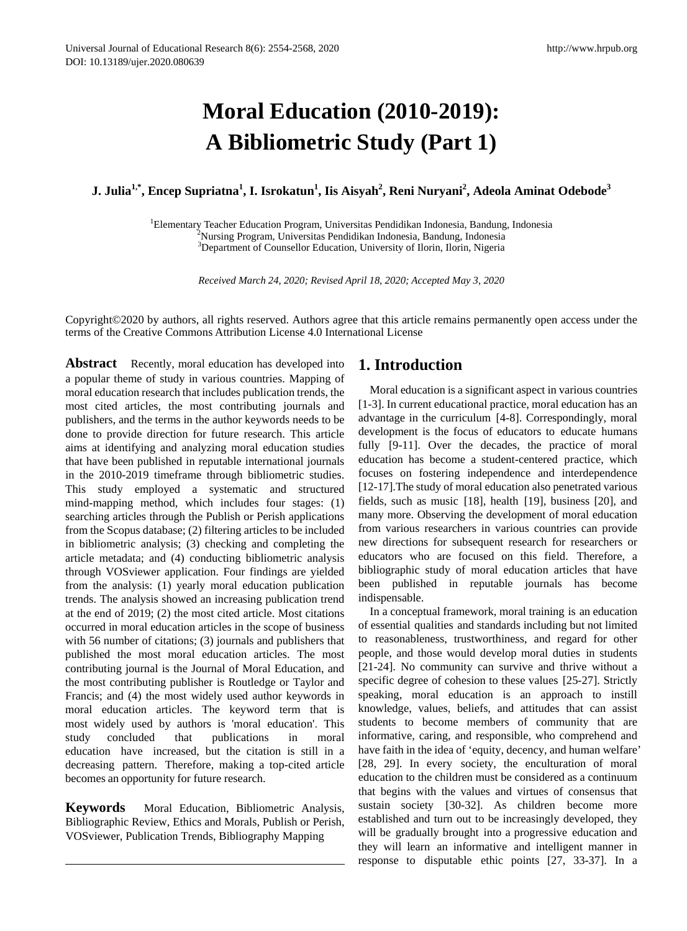# **Moral Education (2010-2019): A Bibliometric Study (Part 1)**

 $\bf{J.}$  Julia $^{\bf{1, *}},$  Encep Supriatna $^{\bf{1}},$  **I.** Isrokatun $^{\bf{1}},$  Iis Aisyah $^{\bf{2}},$  Reni Nuryani $^{\bf{2}},$  Adeola Aminat Odebode $^{\bf{3}}$ 

<sup>1</sup> Elementary Teacher Education Program, Universitas Pendidikan Indonesia, Bandung, Indonesia<br><sup>2</sup> Nursing Program, Universitas Pendidikan Indonesia, Bandung, Indonesia Nursing Program, Universitas Pendidikan Indonesia, Bandung, Indonesia <sup>3</sup>Department of Counsellor Education, University of Ilorin, Ilorin, Nigeria

*Received March 24, 2020; Revised April 18, 2020; Accepted May 3, 2020*

Copyright©2020 by authors, all rights reserved. Authors agree that this article remains permanently open access under the terms of the Creative Commons Attribution License 4.0 International License

**Abstract** Recently, moral education has developed into a popular theme of study in various countries. Mapping of moral education research that includes publication trends, the most cited articles, the most contributing journals and publishers, and the terms in the author keywords needs to be done to provide direction for future research. This article aims at identifying and analyzing moral education studies that have been published in reputable international journals in the 2010-2019 timeframe through bibliometric studies. This study employed a systematic and structured mind-mapping method, which includes four stages: (1) searching articles through the Publish or Perish applications from the Scopus database; (2) filtering articles to be included in bibliometric analysis; (3) checking and completing the article metadata; and (4) conducting bibliometric analysis through VOSviewer application. Four findings are yielded from the analysis: (1) yearly moral education publication trends. The analysis showed an increasing publication trend at the end of 2019; (2) the most cited article. Most citations occurred in moral education articles in the scope of business with 56 number of citations; (3) journals and publishers that published the most moral education articles. The most contributing journal is the Journal of Moral Education, and the most contributing publisher is Routledge or Taylor and Francis; and (4) the most widely used author keywords in moral education articles. The keyword term that is most widely used by authors is 'moral education'. This study concluded that publications in moral education have increased, but the citation is still in a decreasing pattern. Therefore, making a top-cited article becomes an opportunity for future research.

**Keywords** Moral Education, Bibliometric Analysis, Bibliographic Review, Ethics and Morals, Publish or Perish, VOSviewer, Publication Trends, Bibliography Mapping

# **1. Introduction**

Moral education is a significant aspect in various countries [1-3]. In current educational practice, moral education has an advantage in the curriculum [4-8]. Correspondingly, moral development is the focus of educators to educate humans fully [9-11]. Over the decades, the practice of moral education has become a student-centered practice, which focuses on fostering independence and interdependence [12-17].The study of moral education also penetrated various fields, such as music [18], health [19], business [20], and many more. Observing the development of moral education from various researchers in various countries can provide new directions for subsequent research for researchers or educators who are focused on this field. Therefore, a bibliographic study of moral education articles that have been published in reputable journals has become indispensable.

In a conceptual framework, moral training is an education of essential qualities and standards including but not limited to reasonableness, trustworthiness, and regard for other people, and those would develop moral duties in students [21-24]. No community can survive and thrive without a specific degree of cohesion to these values [25-27]. Strictly speaking, moral education is an approach to instill knowledge, values, beliefs, and attitudes that can assist students to become members of community that are informative, caring, and responsible, who comprehend and have faith in the idea of 'equity, decency, and human welfare' [28, 29]. In every society, the enculturation of moral education to the children must be considered as a continuum that begins with the values and virtues of consensus that sustain society [30-32]. As children become more established and turn out to be increasingly developed, they will be gradually brought into a progressive education and they will learn an informative and intelligent manner in response to disputable ethic points [27, 33-37]. In a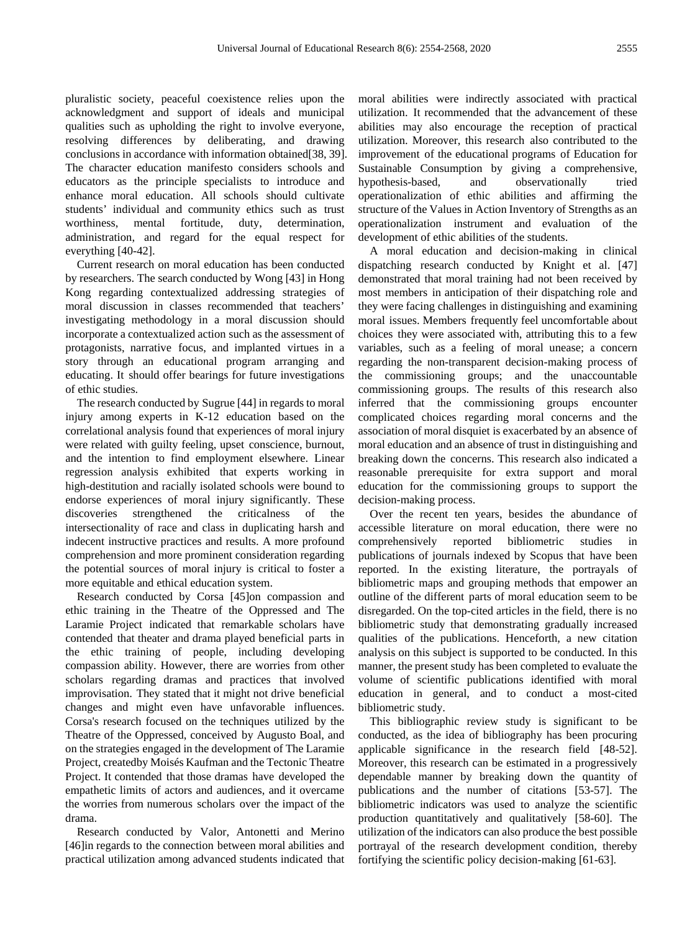pluralistic society, peaceful coexistence relies upon the acknowledgment and support of ideals and municipal qualities such as upholding the right to involve everyone, resolving differences by deliberating, and drawing conclusions in accordance with information obtained[38, 39]. The character education manifesto considers schools and educators as the principle specialists to introduce and enhance moral education. All schools should cultivate students' individual and community ethics such as trust worthiness, mental fortitude, duty, determination, administration, and regard for the equal respect for everything [40-42].

Current research on moral education has been conducted by researchers. The search conducted by Wong [43] in Hong Kong regarding contextualized addressing strategies of moral discussion in classes recommended that teachers' investigating methodology in a moral discussion should incorporate a contextualized action such as the assessment of protagonists, narrative focus, and implanted virtues in a story through an educational program arranging and educating. It should offer bearings for future investigations of ethic studies.

The research conducted by Sugrue [44] in regards to moral injury among experts in K-12 education based on the correlational analysis found that experiences of moral injury were related with guilty feeling, upset conscience, burnout, and the intention to find employment elsewhere. Linear regression analysis exhibited that experts working in high-destitution and racially isolated schools were bound to endorse experiences of moral injury significantly. These discoveries strengthened the criticalness of the intersectionality of race and class in duplicating harsh and indecent instructive practices and results. A more profound comprehension and more prominent consideration regarding the potential sources of moral injury is critical to foster a more equitable and ethical education system.

Research conducted by Corsa [45]on compassion and ethic training in the Theatre of the Oppressed and The Laramie Project indicated that remarkable scholars have contended that theater and drama played beneficial parts in the ethic training of people, including developing compassion ability. However, there are worries from other scholars regarding dramas and practices that involved improvisation. They stated that it might not drive beneficial changes and might even have unfavorable influences. Corsa's research focused on the techniques utilized by the Theatre of the Oppressed, conceived by Augusto Boal, and on the strategies engaged in the development of The Laramie Project, createdby Moisés Kaufman and the Tectonic Theatre Project. It contended that those dramas have developed the empathetic limits of actors and audiences, and it overcame the worries from numerous scholars over the impact of the drama.

Research conducted by Valor, Antonetti and Merino [46]in regards to the connection between moral abilities and practical utilization among advanced students indicated that moral abilities were indirectly associated with practical utilization. It recommended that the advancement of these abilities may also encourage the reception of practical utilization. Moreover, this research also contributed to the improvement of the educational programs of Education for Sustainable Consumption by giving a comprehensive, hypothesis-based, and observationally tried operationalization of ethic abilities and affirming the structure of the Values in Action Inventory of Strengths as an operationalization instrument and evaluation of the development of ethic abilities of the students.

A moral education and decision-making in clinical dispatching research conducted by Knight et al. [47] demonstrated that moral training had not been received by most members in anticipation of their dispatching role and they were facing challenges in distinguishing and examining moral issues. Members frequently feel uncomfortable about choices they were associated with, attributing this to a few variables, such as a feeling of moral unease; a concern regarding the non-transparent decision-making process of the commissioning groups; and the unaccountable commissioning groups. The results of this research also inferred that the commissioning groups encounter complicated choices regarding moral concerns and the association of moral disquiet is exacerbated by an absence of moral education and an absence of trust in distinguishing and breaking down the concerns. This research also indicated a reasonable prerequisite for extra support and moral education for the commissioning groups to support the decision-making process.

Over the recent ten years, besides the abundance of accessible literature on moral education, there were no comprehensively reported bibliometric studies in publications of journals indexed by Scopus that have been reported. In the existing literature, the portrayals of bibliometric maps and grouping methods that empower an outline of the different parts of moral education seem to be disregarded. On the top-cited articles in the field, there is no bibliometric study that demonstrating gradually increased qualities of the publications. Henceforth, a new citation analysis on this subject is supported to be conducted. In this manner, the present study has been completed to evaluate the volume of scientific publications identified with moral education in general, and to conduct a most-cited bibliometric study.

This bibliographic review study is significant to be conducted, as the idea of bibliography has been procuring applicable significance in the research field [48-52]. Moreover, this research can be estimated in a progressively dependable manner by breaking down the quantity of publications and the number of citations [53-57]. The bibliometric indicators was used to analyze the scientific production quantitatively and qualitatively [58-60]. The utilization of the indicators can also produce the best possible portrayal of the research development condition, thereby fortifying the scientific policy decision-making [61-63].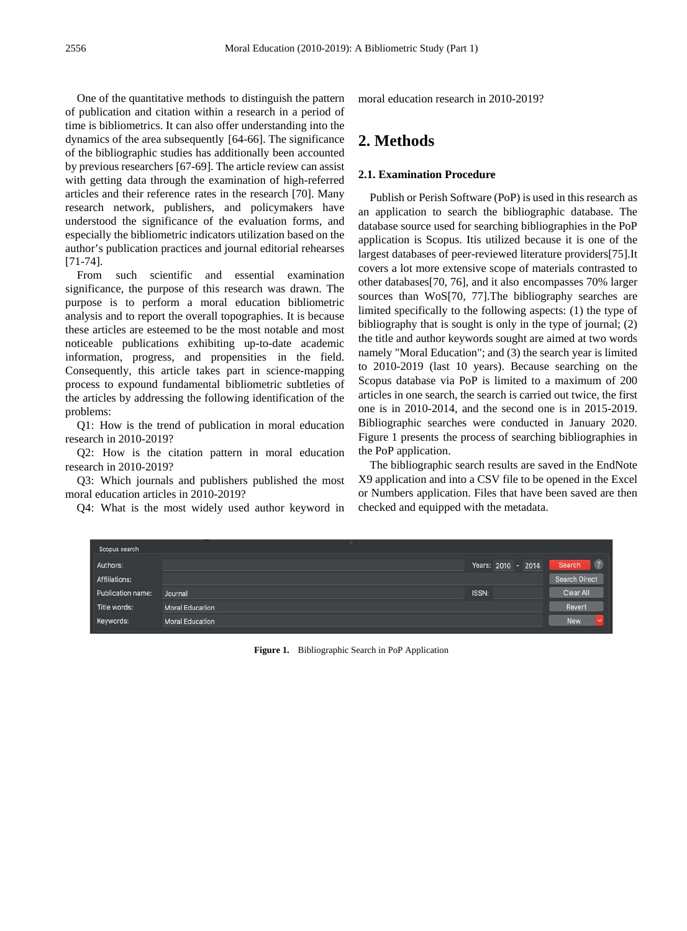One of the quantitative methods to distinguish the pattern of publication and citation within a research in a period of time is bibliometrics. It can also offer understanding into the dynamics of the area subsequently [64-66]. The significance of the bibliographic studies has additionally been accounted by previous researchers [67-69]. The article review can assist with getting data through the examination of high-referred articles and their reference rates in the research [70]. Many research network, publishers, and policymakers have understood the significance of the evaluation forms, and especially the bibliometric indicators utilization based on the author's publication practices and journal editorial rehearses [71-74].

From such scientific and essential examination significance, the purpose of this research was drawn. The purpose is to perform a moral education bibliometric analysis and to report the overall topographies. It is because these articles are esteemed to be the most notable and most noticeable publications exhibiting up-to-date academic information, progress, and propensities in the field. Consequently, this article takes part in science-mapping process to expound fundamental bibliometric subtleties of the articles by addressing the following identification of the problems:

Q1: How is the trend of publication in moral education research in 2010-2019?

Q2: How is the citation pattern in moral education research in 2010-2019?

Q3: Which journals and publishers published the most moral education articles in 2010-2019?

Q4: What is the most widely used author keyword in

moral education research in 2010-2019?

# **2. Methods**

## **2.1. Examination Procedure**

Publish or Perish Software (PoP) is used in this research as an application to search the bibliographic database. The database source used for searching bibliographies in the PoP application is Scopus. Itis utilized because it is one of the largest databases of peer-reviewed literature providers[75].It covers a lot more extensive scope of materials contrasted to other databases[70, 76], and it also encompasses 70% larger sources than WoS[70, 77]. The bibliography searches are limited specifically to the following aspects: (1) the type of bibliography that is sought is only in the type of journal; (2) the title and author keywords sought are aimed at two words namely "Moral Education"; and (3) the search year is limited to 2010-2019 (last 10 years). Because searching on the Scopus database via PoP is limited to a maximum of 200 articles in one search, the search is carried out twice, the first one is in 2010-2014, and the second one is in 2015-2019. Bibliographic searches were conducted in January 2020. Figure 1 presents the process of searching bibliographies in the PoP application.

The bibliographic search results are saved in the EndNote X9 application and into a CSV file to be opened in the Excel or Numbers application. Files that have been saved are then checked and equipped with the metadata.

| Scopus search     |                        |       |                    |                      |
|-------------------|------------------------|-------|--------------------|----------------------|
| Authors:          |                        |       | Years: 2010 - 2014 | $\sqrt{2}$<br>Search |
| Affiliations:     |                        |       |                    | <b>Search Direct</b> |
| Publication name: | Journal                | ISSN: |                    | Clear All            |
| Title words:      | <b>Moral Education</b> |       |                    | Revert               |
| Keywords:         | <b>Moral Education</b> |       |                    | <b>New</b>           |

**Figure 1.** Bibliographic Search in PoP Application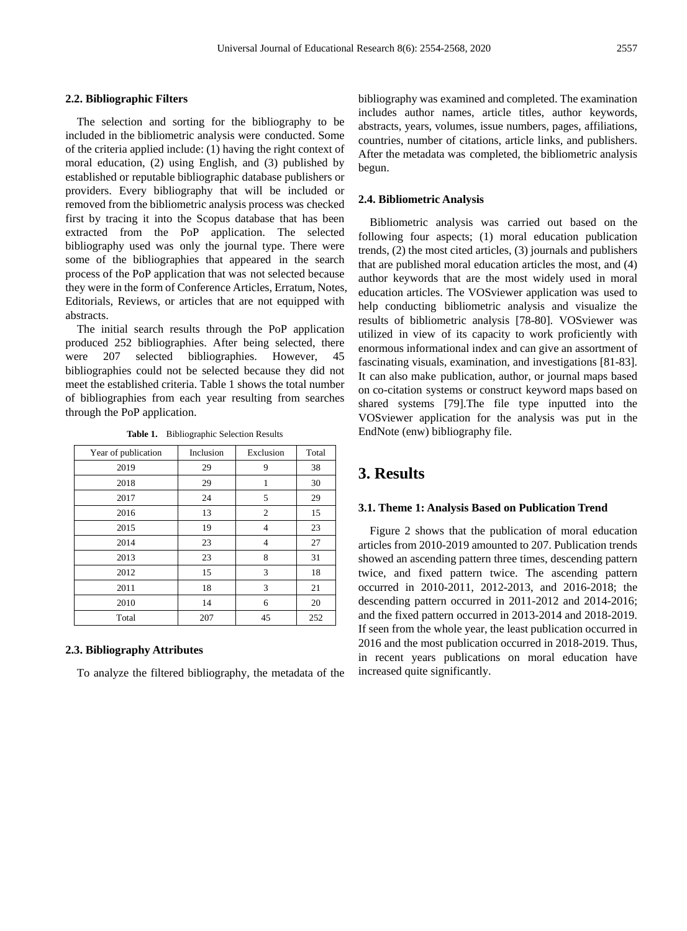#### **2.2. Bibliographic Filters**

The selection and sorting for the bibliography to be included in the bibliometric analysis were conducted. Some of the criteria applied include: (1) having the right context of moral education, (2) using English, and (3) published by established or reputable bibliographic database publishers or providers. Every bibliography that will be included or removed from the bibliometric analysis process was checked first by tracing it into the Scopus database that has been extracted from the PoP application. The selected bibliography used was only the journal type. There were some of the bibliographies that appeared in the search process of the PoP application that was not selected because they were in the form of Conference Articles, Erratum, Notes, Editorials, Reviews, or articles that are not equipped with abstracts.

The initial search results through the PoP application produced 252 bibliographies. After being selected, there were 207 selected bibliographies. However, 45 bibliographies could not be selected because they did not meet the established criteria. Table 1 shows the total number of bibliographies from each year resulting from searches through the PoP application.

|  | Table 1. |  |  | <b>Bibliographic Selection Results</b> |  |  |  |  |  |
|--|----------|--|--|----------------------------------------|--|--|--|--|--|
|--|----------|--|--|----------------------------------------|--|--|--|--|--|

| Year of publication | Inclusion | Exclusion      | Total |
|---------------------|-----------|----------------|-------|
| 2019                | 29        | 9              | 38    |
| 2018                | 29        | 1              | 30    |
| 2017                | 24        | 5              | 29    |
| 2016                | 13        | 2              | 15    |
| 2015                | 19        | $\overline{4}$ | 23    |
| 2014                | 23        | $\overline{4}$ | 27    |
| 2013                | 23        | 8              | 31    |
| 2012                | 15        | 3              | 18    |
| 2011                | 18        | 3              | 21    |
| 2010                | 14        | 6              | 20    |
| Total               | 207       | 45             | 252   |

#### **2.3. Bibliography Attributes**

To analyze the filtered bibliography, the metadata of the

bibliography was examined and completed. The examination includes author names, article titles, author keywords, abstracts, years, volumes, issue numbers, pages, affiliations, countries, number of citations, article links, and publishers. After the metadata was completed, the bibliometric analysis begun.

#### **2.4. Bibliometric Analysis**

Bibliometric analysis was carried out based on the following four aspects; (1) moral education publication trends, (2) the most cited articles, (3) journals and publishers that are published moral education articles the most, and (4) author keywords that are the most widely used in moral education articles. The VOSviewer application was used to help conducting bibliometric analysis and visualize the results of bibliometric analysis [78-80]. VOSviewer was utilized in view of its capacity to work proficiently with enormous informational index and can give an assortment of fascinating visuals, examination, and investigations [81-83]. It can also make publication, author, or journal maps based on co-citation systems or construct keyword maps based on shared systems [79].The file type inputted into the VOSviewer application for the analysis was put in the EndNote (enw) bibliography file.

# **3. Results**

#### **3.1. Theme 1: Analysis Based on Publication Trend**

Figure 2 shows that the publication of moral education articles from 2010-2019 amounted to 207. Publication trends showed an ascending pattern three times, descending pattern twice, and fixed pattern twice. The ascending pattern occurred in 2010-2011, 2012-2013, and 2016-2018; the descending pattern occurred in 2011-2012 and 2014-2016; and the fixed pattern occurred in 2013-2014 and 2018-2019. If seen from the whole year, the least publication occurred in 2016 and the most publication occurred in 2018-2019. Thus, in recent years publications on moral education have increased quite significantly.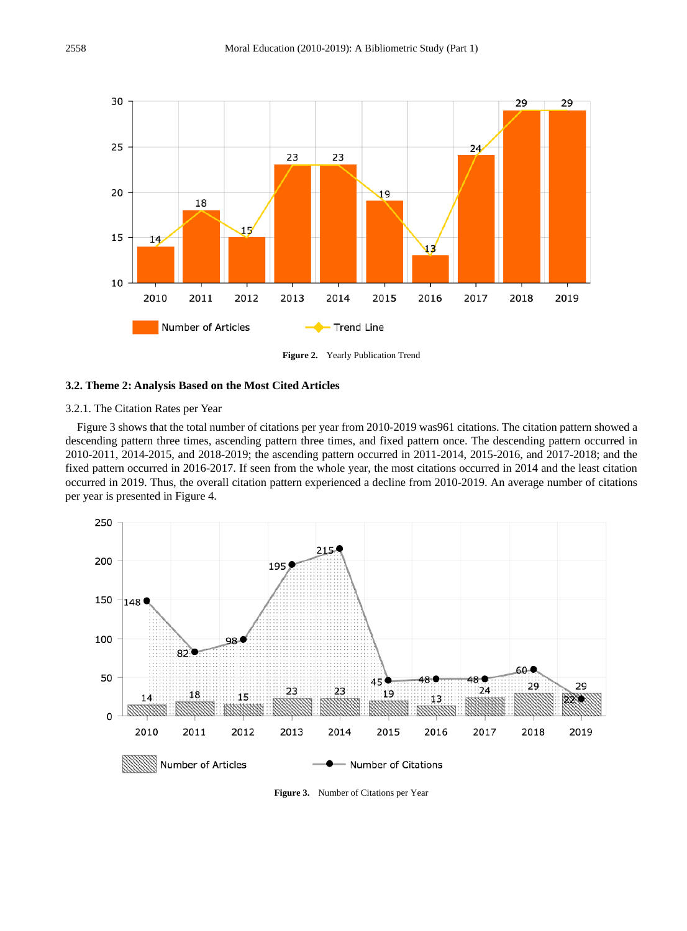

**Figure 2.** Yearly Publication Trend

#### **3.2. Theme 2: Analysis Based on the Most Cited Articles**

## 3.2.1. The Citation Rates per Year

Figure 3 shows that the total number of citations per year from 2010-2019 was961 citations. The citation pattern showed a descending pattern three times, ascending pattern three times, and fixed pattern once. The descending pattern occurred in 2010-2011, 2014-2015, and 2018-2019; the ascending pattern occurred in 2011-2014, 2015-2016, and 2017-2018; and the fixed pattern occurred in 2016-2017. If seen from the whole year, the most citations occurred in 2014 and the least citation occurred in 2019. Thus, the overall citation pattern experienced a decline from 2010-2019. An average number of citations per year is presented in Figure 4.



**Figure 3.** Number of Citations per Year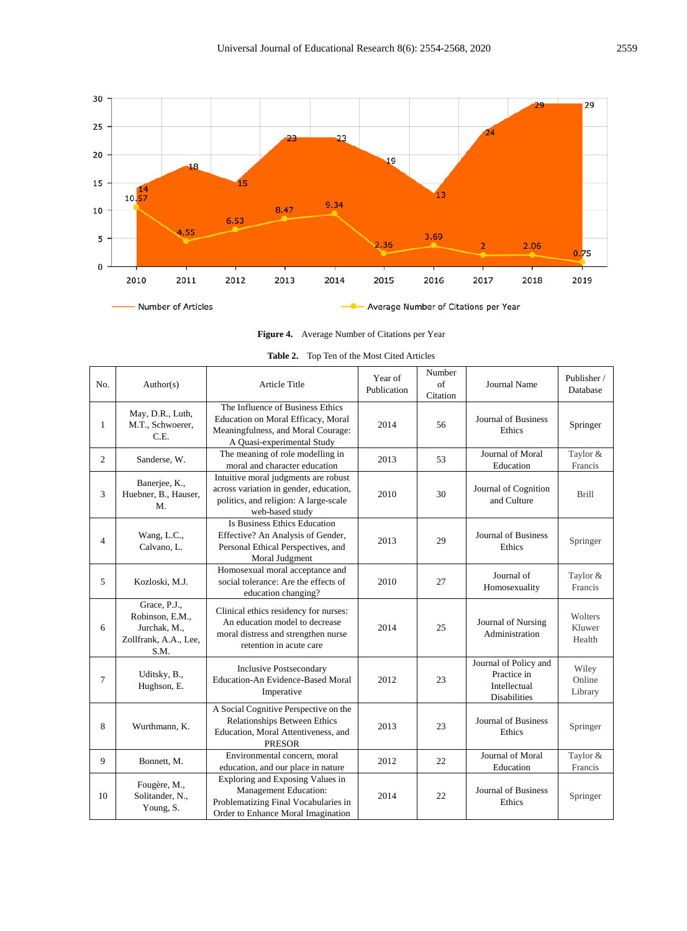

**Figure 4.** Average Number of Citations per Year

| No.          | Author(s)                                                                        | <b>Article Title</b>                                                                                                                       | Year of<br>Publication | Number<br>$\sigma$ f<br>Citation | <b>Journal Name</b>                                                         | Publisher/<br>Database      |
|--------------|----------------------------------------------------------------------------------|--------------------------------------------------------------------------------------------------------------------------------------------|------------------------|----------------------------------|-----------------------------------------------------------------------------|-----------------------------|
| $\mathbf{1}$ | May, D.R., Luth,<br>M.T., Schwoerer,<br>C.E.                                     | The Influence of Business Ethics<br>Education on Moral Efficacy, Moral<br>Meaningfulness, and Moral Courage:<br>A Quasi-experimental Study | 2014                   | 56                               | Journal of Business<br>Ethics                                               | Springer                    |
| 2            | Sanderse, W.                                                                     | The meaning of role modelling in<br>moral and character education                                                                          | 2013                   | 53                               | Journal of Moral<br>Education                                               | Taylor &<br>Francis         |
| 3            | Banerjee, K.,<br>Huebner, B., Hauser,<br>M.                                      | Intuitive moral judgments are robust<br>across variation in gender, education,<br>politics, and religion: A large-scale<br>web-based study | 2010                   | 30                               | Journal of Cognition<br>and Culture                                         | <b>Brill</b>                |
| 4            | Wang, L.C.,<br>Calvano, L.                                                       | Is Business Ethics Education<br>Effective? An Analysis of Gender,<br>Personal Ethical Perspectives, and<br>Moral Judgment                  | 2013                   | 29                               | Journal of Business<br>Ethics                                               | Springer                    |
| 5            | Kozloski, M.J.                                                                   | Homosexual moral acceptance and<br>social tolerance: Are the effects of<br>education changing?                                             | 2010                   | 27                               | Journal of<br>Homosexuality                                                 | Taylor &<br>Francis         |
| 6            | Grace, P.J.,<br>Robinson, E.M.,<br>Jurchak, M.,<br>Zollfrank, A.A., Lee,<br>S.M. | Clinical ethics residency for nurses:<br>An education model to decrease<br>moral distress and strengthen nurse<br>retention in acute care  | 2014                   | 25                               | Journal of Nursing<br>Administration                                        | Wolters<br>Kluwer<br>Health |
| 7            | Uditsky, B.,<br>Hughson, E.                                                      | <b>Inclusive Postsecondary</b><br>Education-An Evidence-Based Moral<br>Imperative                                                          | 2012                   | 23                               | Journal of Policy and<br>Practice in<br>Intellectual<br><b>Disabilities</b> | Wiley<br>Online<br>Library  |
| 8            | Wurthmann, K.                                                                    | A Social Cognitive Perspective on the<br>Relationships Between Ethics<br>Education, Moral Attentiveness, and<br><b>PRESOR</b>              | 2013                   | 23                               | Journal of Business<br>Ethics                                               | Springer                    |
| 9            | Bonnett, M.                                                                      | Environmental concern, moral<br>education, and our place in nature                                                                         | 2012                   | 22                               | Journal of Moral<br>Education                                               | Taylor &<br>Francis         |
| 10           | Fougère, M.,<br>Solitander, N.,<br>Young, S.                                     | Exploring and Exposing Values in<br>Management Education:<br>Problematizing Final Vocabularies in<br>Order to Enhance Moral Imagination    | 2014                   | 22                               | <b>Journal of Business</b><br>Ethics                                        | Springer                    |

|  | <b>Table 2.</b> Top Ten of the Most Cited Articles |
|--|----------------------------------------------------|
|--|----------------------------------------------------|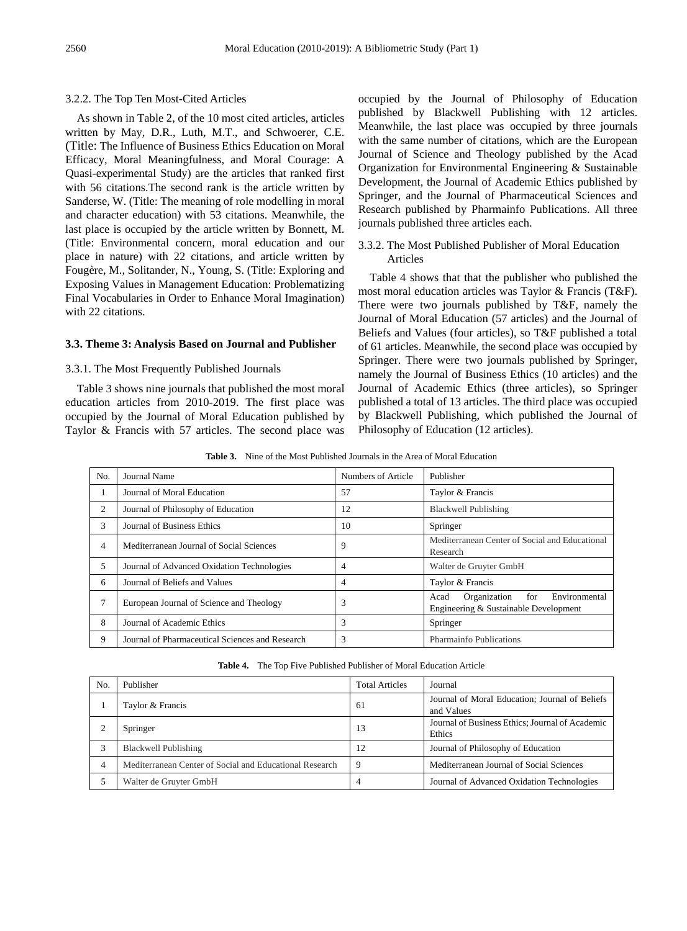## 3.2.2. The Top Ten Most-Cited Articles

As shown in Table 2, of the 10 most cited articles, articles written by May, D.R., Luth, M.T., and Schwoerer, C.E. (Title: The Influence of Business Ethics Education on Moral Efficacy, Moral Meaningfulness, and Moral Courage: A Quasi-experimental Study) are the articles that ranked first with 56 citations.The second rank is the article written by Sanderse, W. (Title: The meaning of role modelling in moral and character education) with 53 citations. Meanwhile, the last place is occupied by the article written by Bonnett, M. (Title: Environmental concern, moral education and our place in nature) with 22 citations, and article written by Fougère, M., Solitander, N., Young, S. (Title: Exploring and Exposing Values in Management Education: Problematizing Final Vocabularies in Order to Enhance Moral Imagination) with 22 citations.

#### **3.3. Theme 3: Analysis Based on Journal and Publisher**

### 3.3.1. The Most Frequently Published Journals

Table 3 shows nine journals that published the most moral education articles from 2010-2019. The first place was occupied by the Journal of Moral Education published by Taylor & Francis with 57 articles. The second place was occupied by the Journal of Philosophy of Education published by Blackwell Publishing with 12 articles. Meanwhile, the last place was occupied by three journals with the same number of citations, which are the European Journal of Science and Theology published by the Acad Organization for Environmental Engineering & Sustainable Development, the Journal of Academic Ethics published by Springer, and the Journal of Pharmaceutical Sciences and Research published by Pharmainfo Publications. All three journals published three articles each.

## 3.3.2. The Most Published Publisher of Moral Education Articles

Table 4 shows that that the publisher who published the most moral education articles was Taylor & Francis (T&F). There were two journals published by T&F, namely the Journal of Moral Education (57 articles) and the Journal of Beliefs and Values (four articles), so T&F published a total of 61 articles. Meanwhile, the second place was occupied by Springer. There were two journals published by Springer, namely the Journal of Business Ethics (10 articles) and the Journal of Academic Ethics (three articles), so Springer published a total of 13 articles. The third place was occupied by Blackwell Publishing, which published the Journal of Philosophy of Education (12 articles).

**Table 3.** Nine of the Most Published Journals in the Area of Moral Education

| N <sub>o</sub> | Journal Name                                    | Numbers of Article | Publisher                                                                             |
|----------------|-------------------------------------------------|--------------------|---------------------------------------------------------------------------------------|
|                | Journal of Moral Education                      | 57                 | Taylor & Francis                                                                      |
| 2              | Journal of Philosophy of Education              | 12                 | Blackwell Publishing                                                                  |
| 3              | Journal of Business Ethics                      | 10                 | Springer                                                                              |
| 4              | Mediterranean Journal of Social Sciences        | 9                  | Mediterranean Center of Social and Educational<br>Research                            |
| 5              | Journal of Advanced Oxidation Technologies      | 4                  | Walter de Gruyter GmbH                                                                |
| 6              | Journal of Beliefs and Values                   | 4                  | Taylor & Francis                                                                      |
|                | European Journal of Science and Theology        | 3                  | Environmental<br>Organization<br>for<br>Acad<br>Engineering & Sustainable Development |
| 8              | Journal of Academic Ethics                      | 3                  | Springer                                                                              |
| 9              | Journal of Pharmaceutical Sciences and Research | 3                  | Pharmainfo Publications                                                               |

|  |  |  |  | <b>Table 4.</b> The Top Five Published Publisher of Moral Education Article |
|--|--|--|--|-----------------------------------------------------------------------------|
|--|--|--|--|-----------------------------------------------------------------------------|

| N <sub>o</sub> | Publisher                                               | <b>Total Articles</b> | Journal                                                      |
|----------------|---------------------------------------------------------|-----------------------|--------------------------------------------------------------|
|                | Taylor & Francis                                        | 61                    | Journal of Moral Education; Journal of Beliefs<br>and Values |
|                | Springer                                                | 13                    | Journal of Business Ethics; Journal of Academic<br>Ethics    |
|                | Blackwell Publishing                                    | 12                    | Journal of Philosophy of Education                           |
|                | Mediterranean Center of Social and Educational Research | 9                     | Mediterranean Journal of Social Sciences                     |
|                | Walter de Gruyter GmbH                                  | 4                     | Journal of Advanced Oxidation Technologies                   |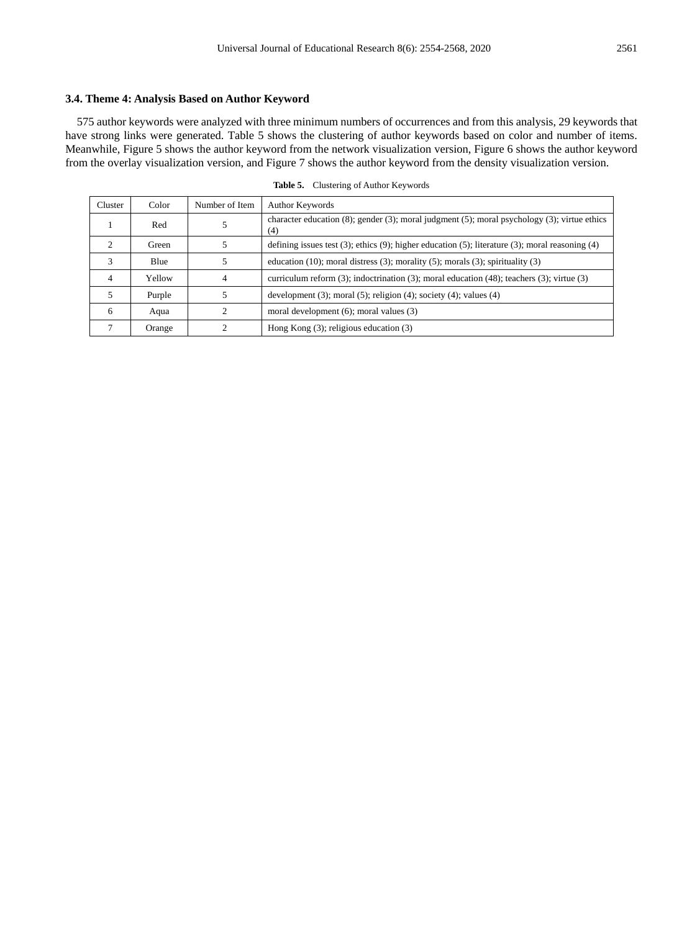## **3.4. Theme 4: Analysis Based on Author Keyword**

575 author keywords were analyzed with three minimum numbers of occurrences and from this analysis, 29 keywords that have strong links were generated. Table 5 shows the clustering of author keywords based on color and number of items. Meanwhile, Figure 5 shows the author keyword from the network visualization version, Figure 6 shows the author keyword from the overlay visualization version, and Figure 7 shows the author keyword from the density visualization version.

| Cluster        | Color  | Number of Item | Author Keywords                                                                                                 |
|----------------|--------|----------------|-----------------------------------------------------------------------------------------------------------------|
|                | Red    |                | character education $(8)$ ; gender $(3)$ ; moral judgment $(5)$ ; moral psychology $(3)$ ; virtue ethics<br>(4) |
|                | Green  |                | defining issues test $(3)$ ; ethics $(9)$ ; higher education $(5)$ ; literature $(3)$ ; moral reasoning $(4)$   |
| 3              | Blue   |                | education (10); moral distress (3); morality (5); morals (3); spirituality (3)                                  |
| $\overline{4}$ | Yellow | 4              | curriculum reform $(3)$ ; indoctrination $(3)$ ; moral education $(48)$ ; teachers $(3)$ ; virtue $(3)$         |
|                | Purple |                | development $(3)$ ; moral $(5)$ ; religion $(4)$ ; society $(4)$ ; values $(4)$                                 |
| 6              | Aqua   |                | moral development $(6)$ ; moral values $(3)$                                                                    |
|                | Orange |                | Hong Kong $(3)$ ; religious education $(3)$                                                                     |

**Table 5.** Clustering of Author Keywords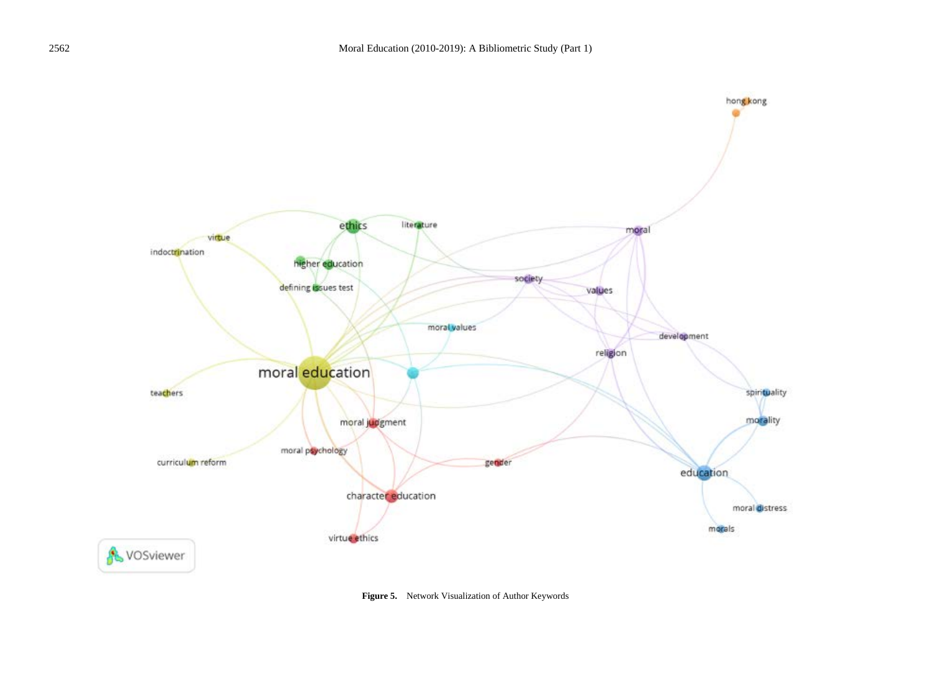

**Figure 5.** Network Visualization of Author Keywords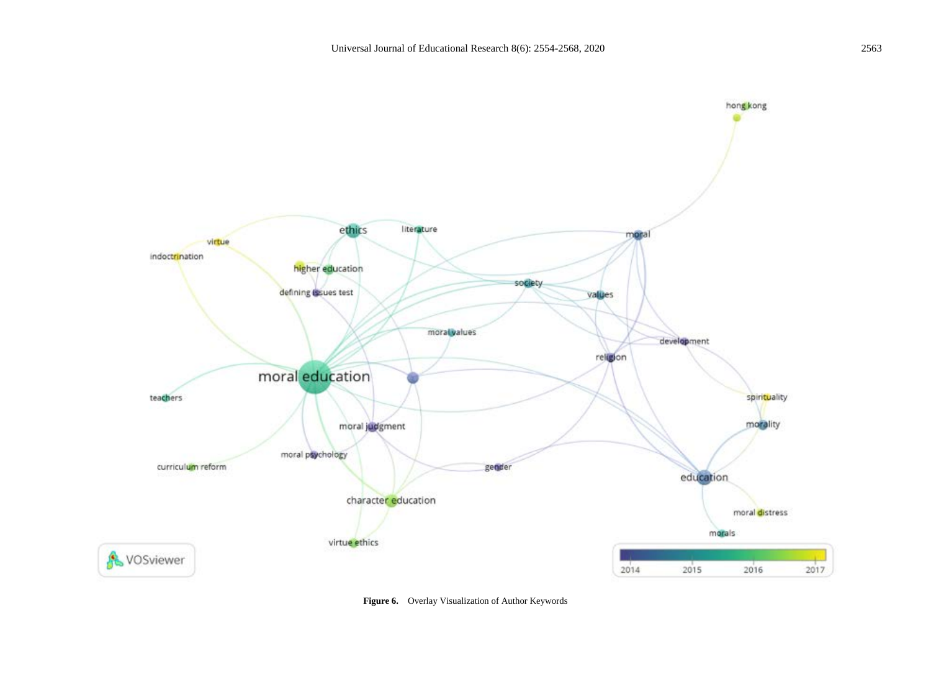

**Figure 6.** Overlay Visualization of Author Keywords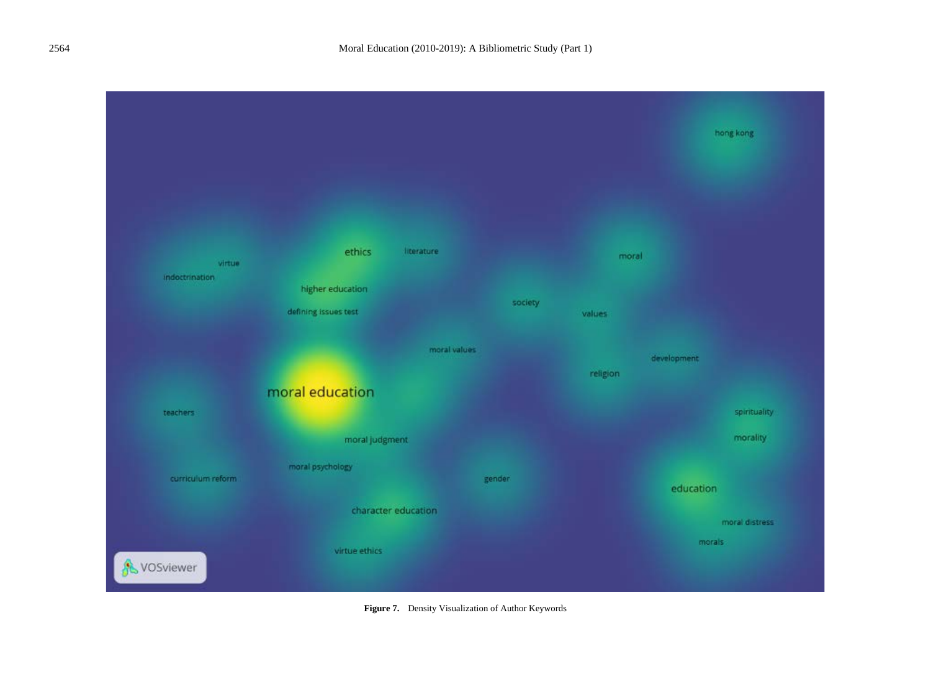

**Figure 7.** Density Visualization of Author Keywords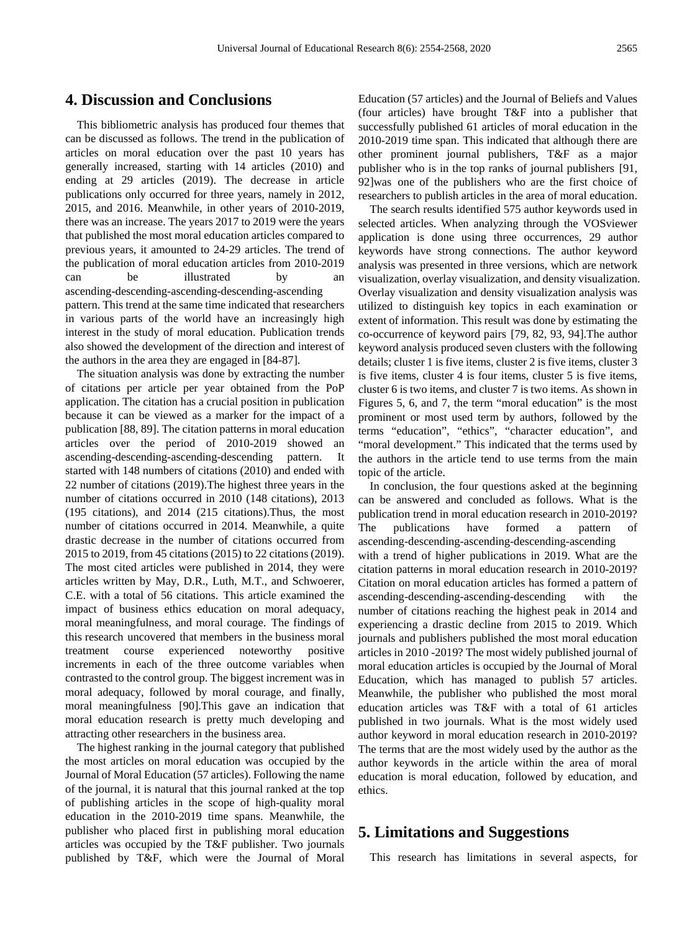# **4. Discussion and Conclusions**

This bibliometric analysis has produced four themes that can be discussed as follows. The trend in the publication of articles on moral education over the past 10 years has generally increased, starting with 14 articles (2010) and ending at 29 articles (2019). The decrease in article publications only occurred for three years, namely in 2012, 2015, and 2016. Meanwhile, in other years of 2010-2019, there was an increase. The years 2017 to 2019 were the years that published the most moral education articles compared to previous years, it amounted to 24-29 articles. The trend of the publication of moral education articles from 2010-2019 can be illustrated by an ascending-descending-ascending-descending-ascending pattern. This trend at the same time indicated that researchers in various parts of the world have an increasingly high interest in the study of moral education. Publication trends also showed the development of the direction and interest of the authors in the area they are engaged in [84-87].

The situation analysis was done by extracting the number of citations per article per year obtained from the PoP application. The citation has a crucial position in publication because it can be viewed as a marker for the impact of a publication [88, 89]. The citation patterns in moral education articles over the period of 2010-2019 showed an ascending-descending-ascending-descending pattern. It started with 148 numbers of citations (2010) and ended with 22 number of citations (2019).The highest three years in the number of citations occurred in 2010 (148 citations), 2013 (195 citations), and 2014 (215 citations).Thus, the most number of citations occurred in 2014. Meanwhile, a quite drastic decrease in the number of citations occurred from 2015 to 2019, from 45 citations (2015) to 22 citations (2019). The most cited articles were published in 2014, they were articles written by May, D.R., Luth, M.T., and Schwoerer, C.E. with a total of 56 citations. This article examined the impact of business ethics education on moral adequacy, moral meaningfulness, and moral courage. The findings of this research uncovered that members in the business moral treatment course experienced noteworthy positive increments in each of the three outcome variables when contrasted to the control group. The biggest increment was in moral adequacy, followed by moral courage, and finally, moral meaningfulness [90].This gave an indication that moral education research is pretty much developing and attracting other researchers in the business area.

The highest ranking in the journal category that published the most articles on moral education was occupied by the Journal of Moral Education (57 articles). Following the name of the journal, it is natural that this journal ranked at the top of publishing articles in the scope of high-quality moral education in the 2010-2019 time spans. Meanwhile, the publisher who placed first in publishing moral education articles was occupied by the T&F publisher. Two journals published by T&F, which were the Journal of Moral Education (57 articles) and the Journal of Beliefs and Values (four articles) have brought T&F into a publisher that successfully published 61 articles of moral education in the 2010-2019 time span. This indicated that although there are other prominent journal publishers, T&F as a major publisher who is in the top ranks of journal publishers [91, 92]was one of the publishers who are the first choice of researchers to publish articles in the area of moral education.

The search results identified 575 author keywords used in selected articles. When analyzing through the VOSviewer application is done using three occurrences, 29 author keywords have strong connections. The author keyword analysis was presented in three versions, which are network visualization, overlay visualization, and density visualization. Overlay visualization and density visualization analysis was utilized to distinguish key topics in each examination or extent of information. This result was done by estimating the co-occurrence of keyword pairs [79, 82, 93, 94].The author keyword analysis produced seven clusters with the following details; cluster 1 is five items, cluster 2 is five items, cluster 3 is five items, cluster 4 is four items, cluster 5 is five items, cluster 6 is two items, and cluster 7 is two items. As shown in Figures 5, 6, and 7, the term "moral education" is the most prominent or most used term by authors, followed by the terms "education", "ethics", "character education", and "moral development." This indicated that the terms used by the authors in the article tend to use terms from the main topic of the article.

In conclusion, the four questions asked at the beginning can be answered and concluded as follows. What is the publication trend in moral education research in 2010-2019? The publications have formed a pattern of ascending-descending-ascending-descending-ascending with a trend of higher publications in 2019. What are the citation patterns in moral education research in 2010-2019? Citation on moral education articles has formed a pattern of ascending-descending-ascending-descending with the number of citations reaching the highest peak in 2014 and experiencing a drastic decline from 2015 to 2019. Which journals and publishers published the most moral education articles in 2010 -2019? The most widely published journal of moral education articles is occupied by the Journal of Moral Education, which has managed to publish 57 articles. Meanwhile, the publisher who published the most moral education articles was T&F with a total of 61 articles published in two journals. What is the most widely used author keyword in moral education research in 2010-2019? The terms that are the most widely used by the author as the author keywords in the article within the area of moral education is moral education, followed by education, and ethics.

# **5. Limitations and Suggestions**

This research has limitations in several aspects, for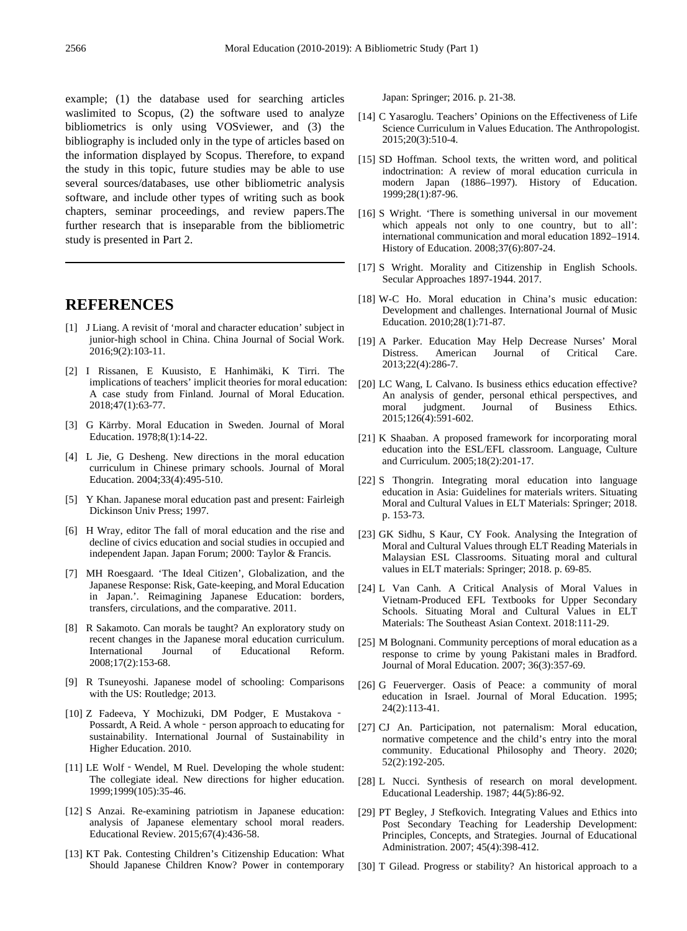example; (1) the database used for searching articles waslimited to Scopus, (2) the software used to analyze bibliometrics is only using VOSviewer, and (3) the bibliography is included only in the type of articles based on the information displayed by Scopus. Therefore, to expand the study in this topic, future studies may be able to use several sources/databases, use other bibliometric analysis software, and include other types of writing such as book chapters, seminar proceedings, and review papers.The further research that is inseparable from the bibliometric study is presented in Part 2.

## **REFERENCES**

- [1] J Liang. A revisit of 'moral and character education' subject in junior-high school in China. China Journal of Social Work. 2016;9(2):103-11.
- [2] I Rissanen, E Kuusisto, E Hanhimäki, K Tirri. The implications of teachers' implicit theories for moral education: A case study from Finland. Journal of Moral Education. 2018;47(1):63-77.
- [3] G Kärrby. Moral Education in Sweden. Journal of Moral Education. 1978;8(1):14-22.
- [4] L Jie, G Desheng. New directions in the moral education curriculum in Chinese primary schools. Journal of Moral Education. 2004;33(4):495-510.
- [5] Y Khan. Japanese moral education past and present: Fairleigh Dickinson Univ Press; 1997.
- [6] H Wray, editor The fall of moral education and the rise and decline of civics education and social studies in occupied and independent Japan. Japan Forum; 2000: Taylor & Francis.
- [7] MH Roesgaard. 'The Ideal Citizen', Globalization, and the Japanese Response: Risk, Gate-keeping, and Moral Education in Japan.'. Reimagining Japanese Education: borders, transfers, circulations, and the comparative. 2011.
- [8] R Sakamoto. Can morals be taught? An exploratory study on recent changes in the Japanese moral education curriculum. International Journal of Educational Reform. 2008;17(2):153-68.
- [9] R Tsuneyoshi. Japanese model of schooling: Comparisons with the US: Routledge; 2013.
- [10] Z Fadeeva, Y Mochizuki, DM Podger, E Mustakova ‐ Possardt, A Reid. A whole - person approach to educating for sustainability. International Journal of Sustainability in Higher Education. 2010.
- [11] LE Wolf Wendel, M Ruel. Developing the whole student: The collegiate ideal. New directions for higher education. 1999;1999(105):35-46.
- [12] S Anzai. Re-examining patriotism in Japanese education: analysis of Japanese elementary school moral readers. Educational Review. 2015;67(4):436-58.
- [13] KT Pak. Contesting Children's Citizenship Education: What Should Japanese Children Know? Power in contemporary

Japan: Springer; 2016. p. 21-38.

- [14] C Yasaroglu. Teachers' Opinions on the Effectiveness of Life Science Curriculum in Values Education. The Anthropologist. 2015;20(3):510-4.
- [15] SD Hoffman. School texts, the written word, and political indoctrination: A review of moral education curricula in modern Japan (1886–1997). History of Education. 1999;28(1):87-96.
- [16] S Wright. 'There is something universal in our movement which appeals not only to one country, but to all': international communication and moral education 1892–1914. History of Education. 2008;37(6):807-24.
- [17] S Wright. Morality and Citizenship in English Schools. Secular Approaches 1897-1944. 2017.
- [18] W-C Ho. Moral education in China's music education: Development and challenges. International Journal of Music Education. 2010;28(1):71-87.
- [19] A Parker. Education May Help Decrease Nurses' Moral Distress. American Journal of Critical Care. 2013;22(4):286-7.
- [20] LC Wang, L Calvano. Is business ethics education effective? An analysis of gender, personal ethical perspectives, and moral indemnet. Journal of Business Ethics. moral judgment. Journal of Business Ethics. 2015;126(4):591-602.
- [21] K Shaaban. A proposed framework for incorporating moral education into the ESL/EFL classroom. Language, Culture and Curriculum. 2005;18(2):201-17.
- [22] S Thongrin. Integrating moral education into language education in Asia: Guidelines for materials writers. Situating Moral and Cultural Values in ELT Materials: Springer; 2018. p. 153-73.
- [23] GK Sidhu, S Kaur, CY Fook. Analysing the Integration of Moral and Cultural Values through ELT Reading Materials in Malaysian ESL Classrooms. Situating moral and cultural values in ELT materials: Springer; 2018. p. 69-85.
- [24] L Van Canh. A Critical Analysis of Moral Values in Vietnam-Produced EFL Textbooks for Upper Secondary Schools. Situating Moral and Cultural Values in ELT Materials: The Southeast Asian Context. 2018:111-29.
- [25] M Bolognani. Community perceptions of moral education as a response to crime by young Pakistani males in Bradford. Journal of Moral Education. 2007; 36(3):357-69.
- [26] G Feuerverger. Oasis of Peace: a community of moral education in Israel. Journal of Moral Education. 1995; 24(2):113-41.
- [27] CJ An. Participation, not paternalism: Moral education, normative competence and the child's entry into the moral community. Educational Philosophy and Theory. 2020; 52(2):192-205.
- [28] L Nucci. Synthesis of research on moral development. Educational Leadership. 1987; 44(5):86-92.
- [29] PT Begley, J Stefkovich. Integrating Values and Ethics into Post Secondary Teaching for Leadership Development: Principles, Concepts, and Strategies. Journal of Educational Administration. 2007; 45(4):398-412.
- [30] T Gilead. Progress or stability? An historical approach to a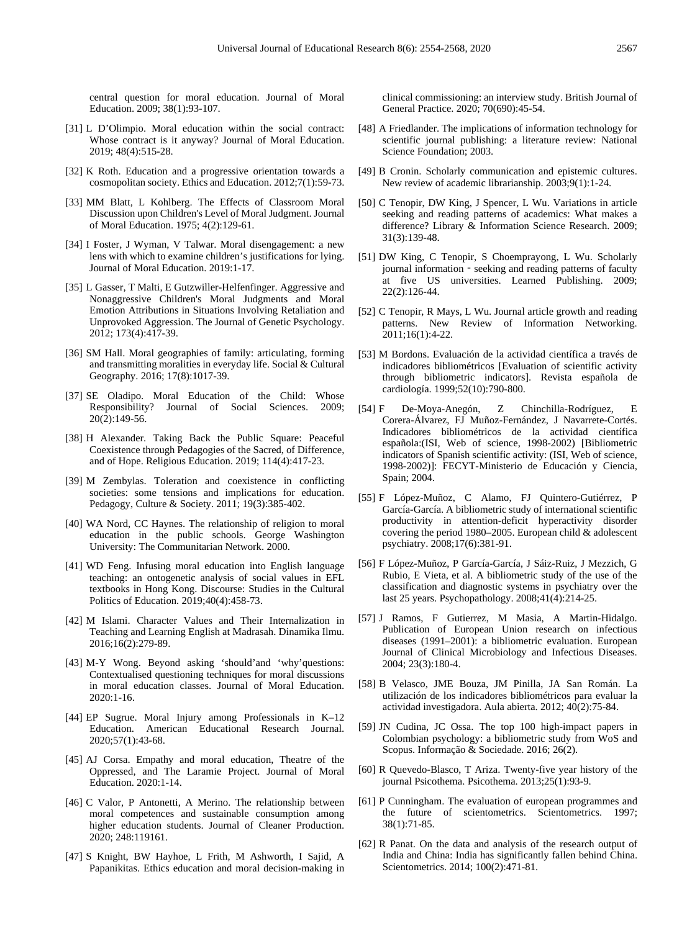central question for moral education. Journal of Moral Education. 2009; 38(1):93-107.

- [31] L D'Olimpio. Moral education within the social contract: Whose contract is it anyway? Journal of Moral Education. 2019; 48(4):515-28.
- [32] K Roth. Education and a progressive orientation towards a cosmopolitan society. Ethics and Education. 2012;7(1):59-73.
- [33] MM Blatt, L Kohlberg. The Effects of Classroom Moral Discussion upon Children's Level of Moral Judgment. Journal of Moral Education. 1975; 4(2):129-61.
- [34] I Foster, J Wyman, V Talwar. Moral disengagement: a new lens with which to examine children's justifications for lying. Journal of Moral Education. 2019:1-17.
- [35] L Gasser, T Malti, E Gutzwiller-Helfenfinger. Aggressive and Nonaggressive Children's Moral Judgments and Moral Emotion Attributions in Situations Involving Retaliation and Unprovoked Aggression. The Journal of Genetic Psychology. 2012; 173(4):417-39.
- [36] SM Hall. Moral geographies of family: articulating, forming and transmitting moralities in everyday life. Social & Cultural Geography. 2016; 17(8):1017-39.
- [37] SE Oladipo. Moral Education of the Child: Whose Responsibility? Journal of Social Sciences. 2009;  $20(2):149-56.$
- [38] H Alexander. Taking Back the Public Square: Peaceful Coexistence through Pedagogies of the Sacred, of Difference, and of Hope. Religious Education. 2019; 114(4):417-23.
- [39] M Zembylas. Toleration and coexistence in conflicting societies: some tensions and implications for education. Pedagogy, Culture & Society. 2011; 19(3):385-402.
- [40] WA Nord, CC Haynes. The relationship of religion to moral education in the public schools. George Washington University: The Communitarian Network. 2000.
- [41] WD Feng. Infusing moral education into English language teaching: an ontogenetic analysis of social values in EFL textbooks in Hong Kong. Discourse: Studies in the Cultural Politics of Education. 2019;40(4):458-73.
- [42] M Islami. Character Values and Their Internalization in Teaching and Learning English at Madrasah. Dinamika Ilmu. 2016;16(2):279-89.
- [43] M-Y Wong. Beyond asking 'should'and 'why'questions: Contextualised questioning techniques for moral discussions in moral education classes. Journal of Moral Education. 2020:1-16.
- [44] EP Sugrue. Moral Injury among Professionals in K–12 Education. American Educational Research Journal. 2020;57(1):43-68.
- [45] AJ Corsa. Empathy and moral education, Theatre of the Oppressed, and The Laramie Project. Journal of Moral Education. 2020:1-14.
- [46] C Valor, P Antonetti, A Merino. The relationship between moral competences and sustainable consumption among higher education students. Journal of Cleaner Production. 2020; 248:119161.
- [47] S Knight, BW Hayhoe, L Frith, M Ashworth, I Sajid, A Papanikitas. Ethics education and moral decision-making in

clinical commissioning: an interview study. British Journal of General Practice. 2020; 70(690):45-54.

- [48] A Friedlander. The implications of information technology for scientific journal publishing: a literature review: National Science Foundation; 2003.
- [49] B Cronin. Scholarly communication and epistemic cultures. New review of academic librarianship. 2003;9(1):1-24.
- [50] C Tenopir, DW King, J Spencer, L Wu. Variations in article seeking and reading patterns of academics: What makes a difference? Library & Information Science Research. 2009; 31(3):139-48.
- [51] DW King, C Tenopir, S Choemprayong, L Wu. Scholarly journal information - seeking and reading patterns of faculty at five US universities. Learned Publishing. 2009; 22(2):126-44.
- [52] C Tenopir, R Mays, L Wu. Journal article growth and reading patterns. New Review of Information Networking. 2011;16(1):4-22.
- [53] M Bordons. Evaluación de la actividad científica a través de indicadores bibliométricos [Evaluation of scientific activity through bibliometric indicators]. Revista española de cardiología. 1999;52(10):790-800.
- [54] F De-Moya-Anegón, Z Chinchilla-Rodríguez, E Corera-Álvarez, FJ Muñoz-Fernández, J Navarrete-Cortés. Indicadores bibliométricos de la actividad científica española:(ISI, Web of science, 1998-2002) [Bibliometric indicators of Spanish scientific activity: (ISI, Web of science, 1998-2002)]: FECYT-Ministerio de Educación y Ciencia, Spain; 2004.
- [55] F López-Muñoz, C Alamo, FJ Quintero-Gutiérrez, P García-García. A bibliometric study of international scientific productivity in attention-deficit hyperactivity disorder covering the period 1980–2005. European child & adolescent psychiatry. 2008;17(6):381-91.
- [56] F López-Muñoz, P García-García, J Sáiz-Ruiz, J Mezzich, G Rubio, E Vieta, et al. A bibliometric study of the use of the classification and diagnostic systems in psychiatry over the last 25 years. Psychopathology. 2008;41(4):214-25.
- [57] J Ramos, F Gutierrez, M Masia, A Martin-Hidalgo. Publication of European Union research on infectious diseases (1991–2001): a bibliometric evaluation. European Journal of Clinical Microbiology and Infectious Diseases. 2004; 23(3):180-4.
- [58] B Velasco, JME Bouza, JM Pinilla, JA San Román. La utilización de los indicadores bibliométricos para evaluar la actividad investigadora. Aula abierta. 2012; 40(2):75-84.
- [59] JN Cudina, JC Ossa. The top 100 high-impact papers in Colombian psychology: a bibliometric study from WoS and Scopus. Informação & Sociedade. 2016; 26(2).
- [60] R Quevedo-Blasco, T Ariza. Twenty-five year history of the journal Psicothema. Psicothema. 2013;25(1):93-9.
- [61] P Cunningham. The evaluation of european programmes and the future of scientometrics. Scientometrics. 1997; 38(1):71-85.
- [62] R Panat. On the data and analysis of the research output of India and China: India has significantly fallen behind China. Scientometrics. 2014; 100(2):471-81.